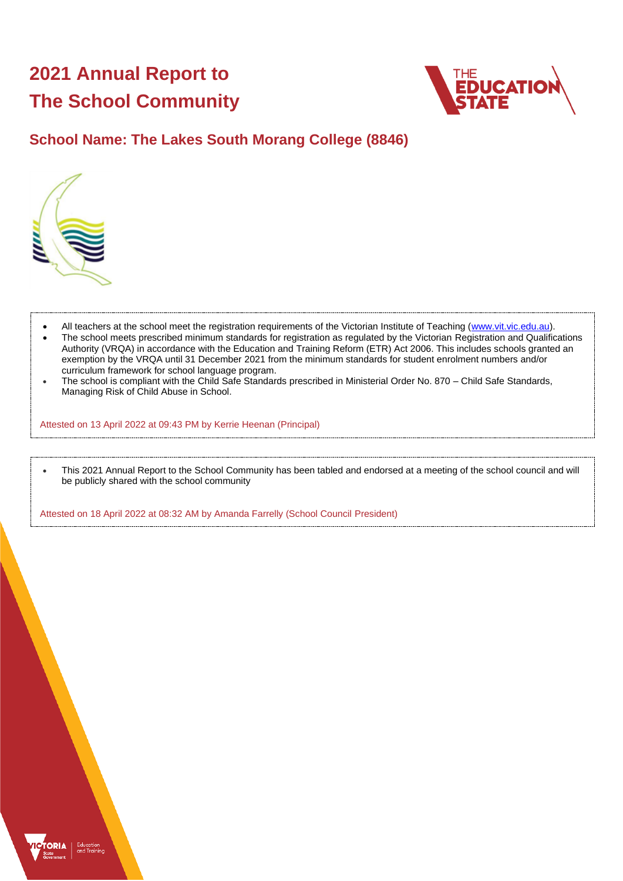# **2021 Annual Report to The School Community**



## **School Name: The Lakes South Morang College (8846)**



- All teachers at the school meet the registration requirements of the Victorian Institute of Teaching [\(www.vit.vic.edu.au\)](https://www.vit.vic.edu.au/).
- The school meets prescribed minimum standards for registration as regulated by the Victorian Registration and Qualifications Authority (VRQA) in accordance with the Education and Training Reform (ETR) Act 2006. This includes schools granted an exemption by the VRQA until 31 December 2021 from the minimum standards for student enrolment numbers and/or curriculum framework for school language program.
- The school is compliant with the Child Safe Standards prescribed in Ministerial Order No. 870 Child Safe Standards, Managing Risk of Child Abuse in School.

Attested on 13 April 2022 at 09:43 PM by Kerrie Heenan (Principal)

• This 2021 Annual Report to the School Community has been tabled and endorsed at a meeting of the school council and will be publicly shared with the school community

Attested on 18 April 2022 at 08:32 AM by Amanda Farrelly (School Council President)

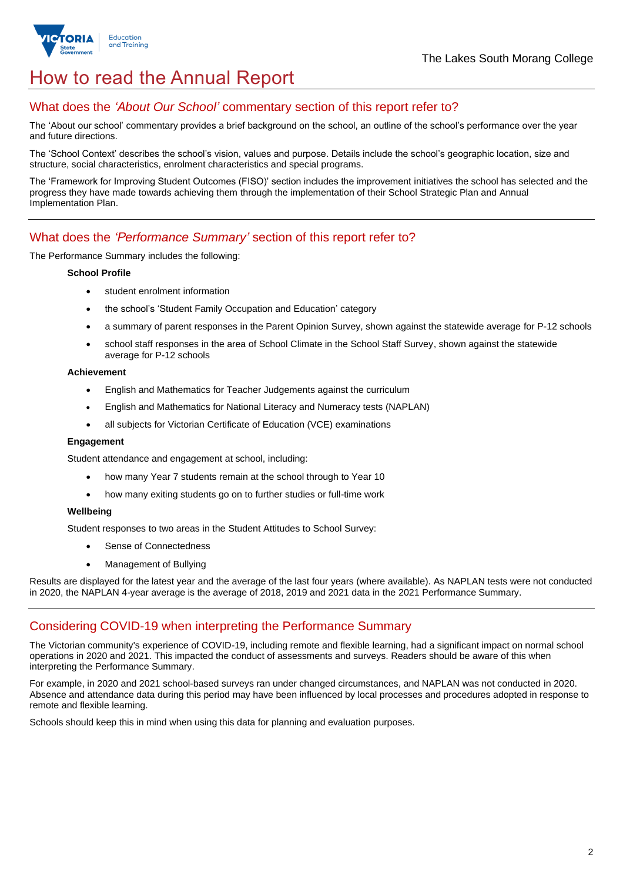

## How to read the Annual Report

## What does the *'About Our School'* commentary section of this report refer to?

The 'About our school' commentary provides a brief background on the school, an outline of the school's performance over the year and future directions.

The 'School Context' describes the school's vision, values and purpose. Details include the school's geographic location, size and structure, social characteristics, enrolment characteristics and special programs.

The 'Framework for Improving Student Outcomes (FISO)' section includes the improvement initiatives the school has selected and the progress they have made towards achieving them through the implementation of their School Strategic Plan and Annual Implementation Plan.

## What does the *'Performance Summary'* section of this report refer to?

#### The Performance Summary includes the following:

#### **School Profile**

- student enrolment information
- the school's 'Student Family Occupation and Education' category
- a summary of parent responses in the Parent Opinion Survey, shown against the statewide average for P-12 schools
- school staff responses in the area of School Climate in the School Staff Survey, shown against the statewide average for P-12 schools

#### **Achievement**

- English and Mathematics for Teacher Judgements against the curriculum
- English and Mathematics for National Literacy and Numeracy tests (NAPLAN)
- all subjects for Victorian Certificate of Education (VCE) examinations

#### **Engagement**

Student attendance and engagement at school, including:

- how many Year 7 students remain at the school through to Year 10
- how many exiting students go on to further studies or full-time work

#### **Wellbeing**

Student responses to two areas in the Student Attitudes to School Survey:

- Sense of Connectedness
- Management of Bullying

Results are displayed for the latest year and the average of the last four years (where available). As NAPLAN tests were not conducted in 2020, the NAPLAN 4-year average is the average of 2018, 2019 and 2021 data in the 2021 Performance Summary.

### Considering COVID-19 when interpreting the Performance Summary

The Victorian community's experience of COVID-19, including remote and flexible learning, had a significant impact on normal school operations in 2020 and 2021. This impacted the conduct of assessments and surveys. Readers should be aware of this when interpreting the Performance Summary.

For example, in 2020 and 2021 school-based surveys ran under changed circumstances, and NAPLAN was not conducted in 2020. Absence and attendance data during this period may have been influenced by local processes and procedures adopted in response to remote and flexible learning.

Schools should keep this in mind when using this data for planning and evaluation purposes.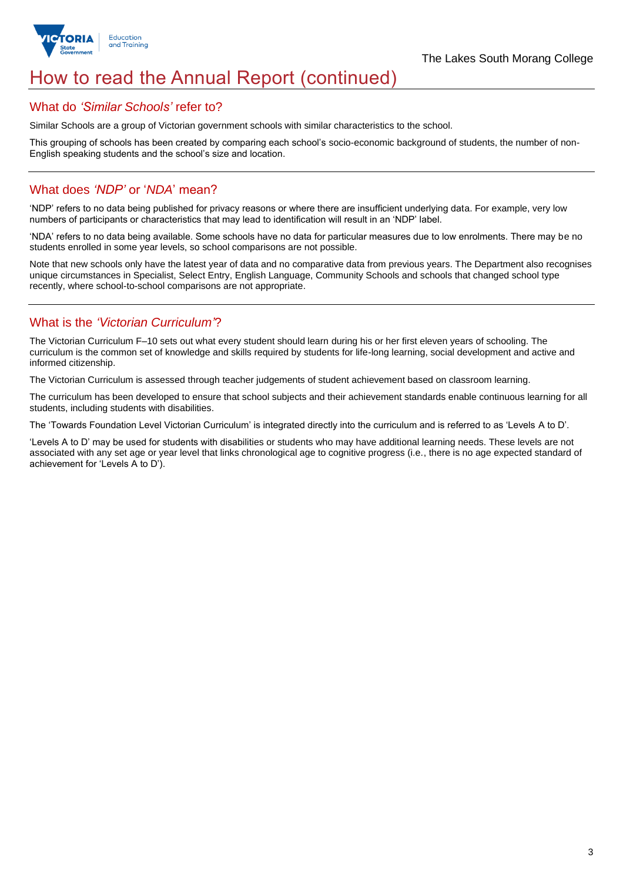

## How to read the Annual Report (continued)

#### What do *'Similar Schools'* refer to?

Similar Schools are a group of Victorian government schools with similar characteristics to the school.

This grouping of schools has been created by comparing each school's socio-economic background of students, the number of non-English speaking students and the school's size and location.

## What does *'NDP'* or '*NDA*' mean?

'NDP' refers to no data being published for privacy reasons or where there are insufficient underlying data. For example, very low numbers of participants or characteristics that may lead to identification will result in an 'NDP' label.

'NDA' refers to no data being available. Some schools have no data for particular measures due to low enrolments. There may be no students enrolled in some year levels, so school comparisons are not possible.

Note that new schools only have the latest year of data and no comparative data from previous years. The Department also recognises unique circumstances in Specialist, Select Entry, English Language, Community Schools and schools that changed school type recently, where school-to-school comparisons are not appropriate.

## What is the *'Victorian Curriculum'*?

The Victorian Curriculum F–10 sets out what every student should learn during his or her first eleven years of schooling. The curriculum is the common set of knowledge and skills required by students for life-long learning, social development and active and informed citizenship.

The Victorian Curriculum is assessed through teacher judgements of student achievement based on classroom learning.

The curriculum has been developed to ensure that school subjects and their achievement standards enable continuous learning for all students, including students with disabilities.

The 'Towards Foundation Level Victorian Curriculum' is integrated directly into the curriculum and is referred to as 'Levels A to D'.

'Levels A to D' may be used for students with disabilities or students who may have additional learning needs. These levels are not associated with any set age or year level that links chronological age to cognitive progress (i.e., there is no age expected standard of achievement for 'Levels A to D').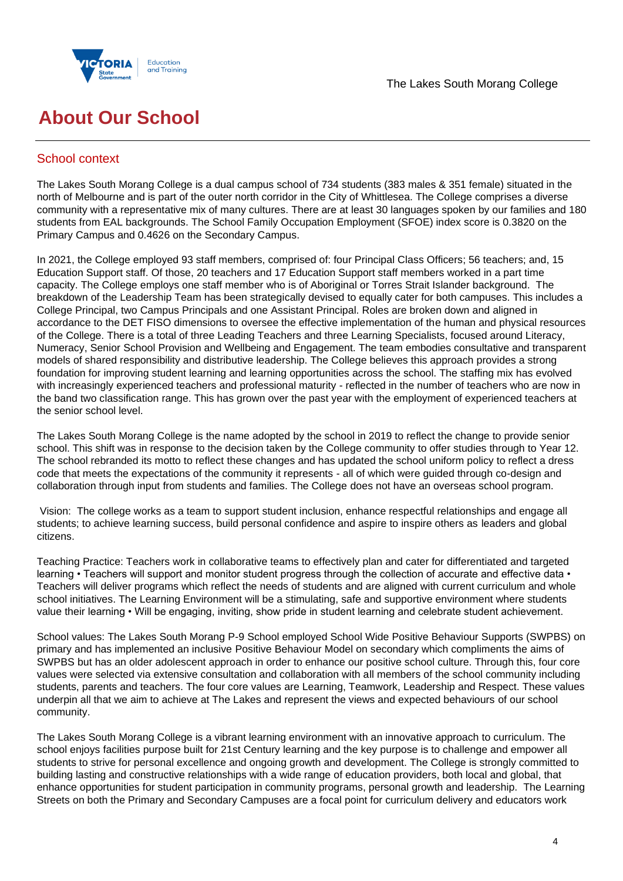



## **About Our School**

## School context

The Lakes South Morang College is a dual campus school of 734 students (383 males & 351 female) situated in the north of Melbourne and is part of the outer north corridor in the City of Whittlesea. The College comprises a diverse community with a representative mix of many cultures. There are at least 30 languages spoken by our families and 180 students from EAL backgrounds. The School Family Occupation Employment (SFOE) index score is 0.3820 on the Primary Campus and 0.4626 on the Secondary Campus.

In 2021, the College employed 93 staff members, comprised of: four Principal Class Officers; 56 teachers; and, 15 Education Support staff. Of those, 20 teachers and 17 Education Support staff members worked in a part time capacity. The College employs one staff member who is of Aboriginal or Torres Strait Islander background. The breakdown of the Leadership Team has been strategically devised to equally cater for both campuses. This includes a College Principal, two Campus Principals and one Assistant Principal. Roles are broken down and aligned in accordance to the DET FISO dimensions to oversee the effective implementation of the human and physical resources of the College. There is a total of three Leading Teachers and three Learning Specialists, focused around Literacy, Numeracy, Senior School Provision and Wellbeing and Engagement. The team embodies consultative and transparent models of shared responsibility and distributive leadership. The College believes this approach provides a strong foundation for improving student learning and learning opportunities across the school. The staffing mix has evolved with increasingly experienced teachers and professional maturity - reflected in the number of teachers who are now in the band two classification range. This has grown over the past year with the employment of experienced teachers at the senior school level.

The Lakes South Morang College is the name adopted by the school in 2019 to reflect the change to provide senior school. This shift was in response to the decision taken by the College community to offer studies through to Year 12. The school rebranded its motto to reflect these changes and has updated the school uniform policy to reflect a dress code that meets the expectations of the community it represents - all of which were guided through co-design and collaboration through input from students and families. The College does not have an overseas school program.

Vision: The college works as a team to support student inclusion, enhance respectful relationships and engage all students; to achieve learning success, build personal confidence and aspire to inspire others as leaders and global citizens.

Teaching Practice: Teachers work in collaborative teams to effectively plan and cater for differentiated and targeted learning • Teachers will support and monitor student progress through the collection of accurate and effective data • Teachers will deliver programs which reflect the needs of students and are aligned with current curriculum and whole school initiatives. The Learning Environment will be a stimulating, safe and supportive environment where students value their learning • Will be engaging, inviting, show pride in student learning and celebrate student achievement.

School values: The Lakes South Morang P-9 School employed School Wide Positive Behaviour Supports (SWPBS) on primary and has implemented an inclusive Positive Behaviour Model on secondary which compliments the aims of SWPBS but has an older adolescent approach in order to enhance our positive school culture. Through this, four core values were selected via extensive consultation and collaboration with all members of the school community including students, parents and teachers. The four core values are Learning, Teamwork, Leadership and Respect. These values underpin all that we aim to achieve at The Lakes and represent the views and expected behaviours of our school community.

The Lakes South Morang College is a vibrant learning environment with an innovative approach to curriculum. The school enjoys facilities purpose built for 21st Century learning and the key purpose is to challenge and empower all students to strive for personal excellence and ongoing growth and development. The College is strongly committed to building lasting and constructive relationships with a wide range of education providers, both local and global, that enhance opportunities for student participation in community programs, personal growth and leadership. The Learning Streets on both the Primary and Secondary Campuses are a focal point for curriculum delivery and educators work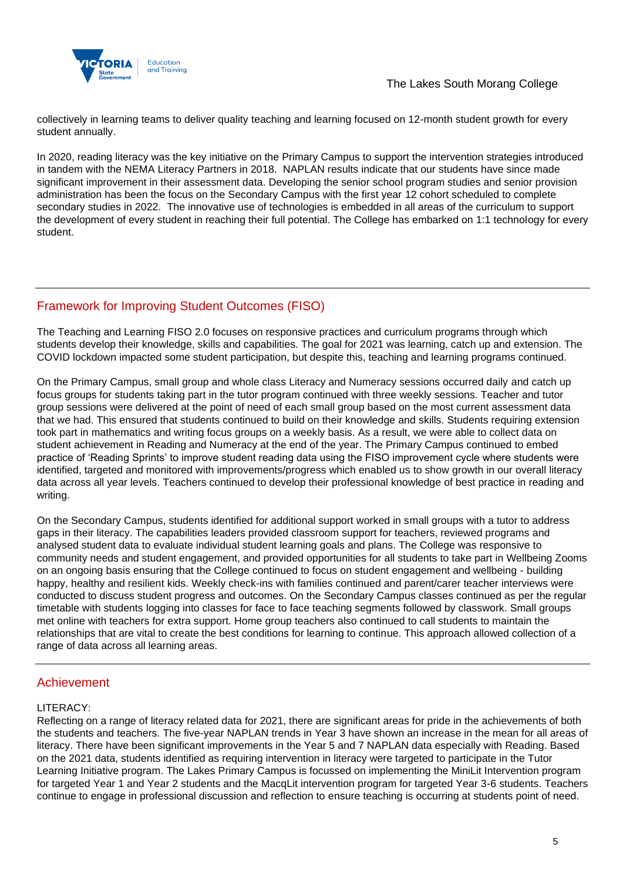

collectively in learning teams to deliver quality teaching and learning focused on 12-month student growth for every student annually.

In 2020, reading literacy was the key initiative on the Primary Campus to support the intervention strategies introduced in tandem with the NEMA Literacy Partners in 2018. NAPLAN results indicate that our students have since made significant improvement in their assessment data. Developing the senior school program studies and senior provision administration has been the focus on the Secondary Campus with the first year 12 cohort scheduled to complete secondary studies in 2022. The innovative use of technologies is embedded in all areas of the curriculum to support the development of every student in reaching their full potential. The College has embarked on 1:1 technology for every student.

## Framework for Improving Student Outcomes (FISO)

The Teaching and Learning FISO 2.0 focuses on responsive practices and curriculum programs through which students develop their knowledge, skills and capabilities. The goal for 2021 was learning, catch up and extension. The COVID lockdown impacted some student participation, but despite this, teaching and learning programs continued.

On the Primary Campus, small group and whole class Literacy and Numeracy sessions occurred daily and catch up focus groups for students taking part in the tutor program continued with three weekly sessions. Teacher and tutor group sessions were delivered at the point of need of each small group based on the most current assessment data that we had. This ensured that students continued to build on their knowledge and skills. Students requiring extension took part in mathematics and writing focus groups on a weekly basis. As a result, we were able to collect data on student achievement in Reading and Numeracy at the end of the year. The Primary Campus continued to embed practice of 'Reading Sprints' to improve student reading data using the FISO improvement cycle where students were identified, targeted and monitored with improvements/progress which enabled us to show growth in our overall literacy data across all year levels. Teachers continued to develop their professional knowledge of best practice in reading and writing.

On the Secondary Campus, students identified for additional support worked in small groups with a tutor to address gaps in their literacy. The capabilities leaders provided classroom support for teachers, reviewed programs and analysed student data to evaluate individual student learning goals and plans. The College was responsive to community needs and student engagement, and provided opportunities for all students to take part in Wellbeing Zooms on an ongoing basis ensuring that the College continued to focus on student engagement and wellbeing - building happy, healthy and resilient kids. Weekly check-ins with families continued and parent/carer teacher interviews were conducted to discuss student progress and outcomes. On the Secondary Campus classes continued as per the regular timetable with students logging into classes for face to face teaching segments followed by classwork. Small groups met online with teachers for extra support. Home group teachers also continued to call students to maintain the relationships that are vital to create the best conditions for learning to continue. This approach allowed collection of a range of data across all learning areas.

## Achievement

#### LITERACY:

Reflecting on a range of literacy related data for 2021, there are significant areas for pride in the achievements of both the students and teachers. The five-year NAPLAN trends in Year 3 have shown an increase in the mean for all areas of literacy. There have been significant improvements in the Year 5 and 7 NAPLAN data especially with Reading. Based on the 2021 data, students identified as requiring intervention in literacy were targeted to participate in the Tutor Learning Initiative program. The Lakes Primary Campus is focussed on implementing the MiniLit Intervention program for targeted Year 1 and Year 2 students and the MacqLit intervention program for targeted Year 3-6 students. Teachers continue to engage in professional discussion and reflection to ensure teaching is occurring at students point of need.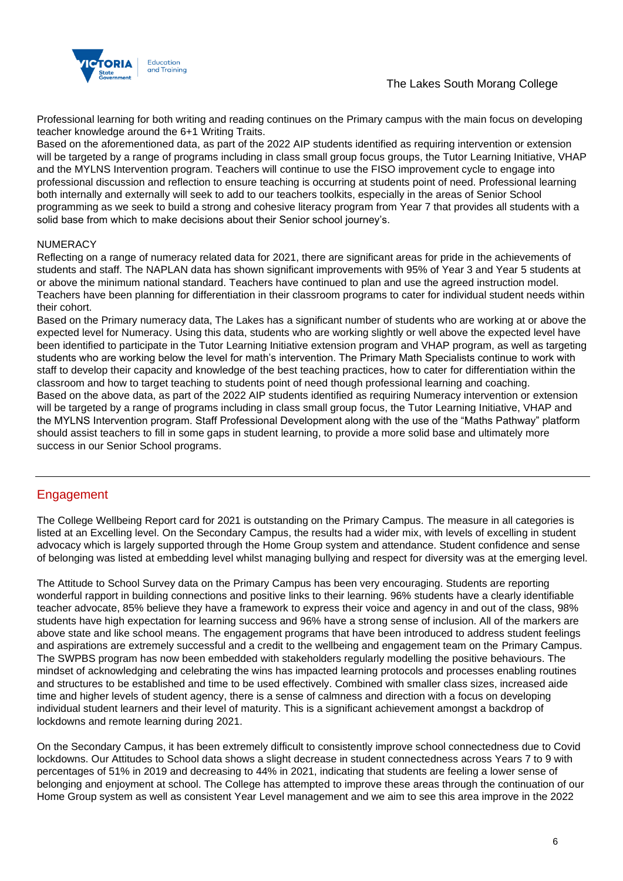



Professional learning for both writing and reading continues on the Primary campus with the main focus on developing teacher knowledge around the 6+1 Writing Traits.

Based on the aforementioned data, as part of the 2022 AIP students identified as requiring intervention or extension will be targeted by a range of programs including in class small group focus groups, the Tutor Learning Initiative, VHAP and the MYLNS Intervention program. Teachers will continue to use the FISO improvement cycle to engage into professional discussion and reflection to ensure teaching is occurring at students point of need. Professional learning both internally and externally will seek to add to our teachers toolkits, especially in the areas of Senior School programming as we seek to build a strong and cohesive literacy program from Year 7 that provides all students with a solid base from which to make decisions about their Senior school journey's.

#### **NUMERACY**

Reflecting on a range of numeracy related data for 2021, there are significant areas for pride in the achievements of students and staff. The NAPLAN data has shown significant improvements with 95% of Year 3 and Year 5 students at or above the minimum national standard. Teachers have continued to plan and use the agreed instruction model. Teachers have been planning for differentiation in their classroom programs to cater for individual student needs within their cohort.

Based on the Primary numeracy data, The Lakes has a significant number of students who are working at or above the expected level for Numeracy. Using this data, students who are working slightly or well above the expected level have been identified to participate in the Tutor Learning Initiative extension program and VHAP program, as well as targeting students who are working below the level for math's intervention. The Primary Math Specialists continue to work with staff to develop their capacity and knowledge of the best teaching practices, how to cater for differentiation within the classroom and how to target teaching to students point of need though professional learning and coaching. Based on the above data, as part of the 2022 AIP students identified as requiring Numeracy intervention or extension will be targeted by a range of programs including in class small group focus, the Tutor Learning Initiative, VHAP and the MYLNS Intervention program. Staff Professional Development along with the use of the "Maths Pathway" platform should assist teachers to fill in some gaps in student learning, to provide a more solid base and ultimately more success in our Senior School programs.

### Engagement

The College Wellbeing Report card for 2021 is outstanding on the Primary Campus. The measure in all categories is listed at an Excelling level. On the Secondary Campus, the results had a wider mix, with levels of excelling in student advocacy which is largely supported through the Home Group system and attendance. Student confidence and sense of belonging was listed at embedding level whilst managing bullying and respect for diversity was at the emerging level.

The Attitude to School Survey data on the Primary Campus has been very encouraging. Students are reporting wonderful rapport in building connections and positive links to their learning. 96% students have a clearly identifiable teacher advocate, 85% believe they have a framework to express their voice and agency in and out of the class, 98% students have high expectation for learning success and 96% have a strong sense of inclusion. All of the markers are above state and like school means. The engagement programs that have been introduced to address student feelings and aspirations are extremely successful and a credit to the wellbeing and engagement team on the Primary Campus. The SWPBS program has now been embedded with stakeholders regularly modelling the positive behaviours. The mindset of acknowledging and celebrating the wins has impacted learning protocols and processes enabling routines and structures to be established and time to be used effectively. Combined with smaller class sizes, increased aide time and higher levels of student agency, there is a sense of calmness and direction with a focus on developing individual student learners and their level of maturity. This is a significant achievement amongst a backdrop of lockdowns and remote learning during 2021.

On the Secondary Campus, it has been extremely difficult to consistently improve school connectedness due to Covid lockdowns. Our Attitudes to School data shows a slight decrease in student connectedness across Years 7 to 9 with percentages of 51% in 2019 and decreasing to 44% in 2021, indicating that students are feeling a lower sense of belonging and enjoyment at school. The College has attempted to improve these areas through the continuation of our Home Group system as well as consistent Year Level management and we aim to see this area improve in the 2022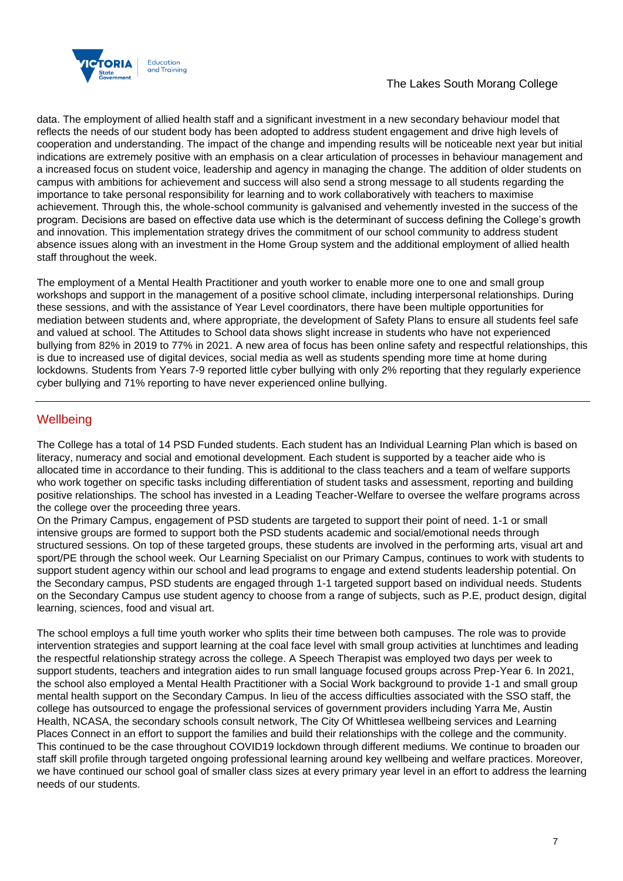

## The Lakes South Morang College

data. The employment of allied health staff and a significant investment in a new secondary behaviour model that reflects the needs of our student body has been adopted to address student engagement and drive high levels of cooperation and understanding. The impact of the change and impending results will be noticeable next year but initial indications are extremely positive with an emphasis on a clear articulation of processes in behaviour management and a increased focus on student voice, leadership and agency in managing the change. The addition of older students on campus with ambitions for achievement and success will also send a strong message to all students regarding the importance to take personal responsibility for learning and to work collaboratively with teachers to maximise achievement. Through this, the whole-school community is galvanised and vehemently invested in the success of the program. Decisions are based on effective data use which is the determinant of success defining the College's growth and innovation. This implementation strategy drives the commitment of our school community to address student absence issues along with an investment in the Home Group system and the additional employment of allied health staff throughout the week.

The employment of a Mental Health Practitioner and youth worker to enable more one to one and small group workshops and support in the management of a positive school climate, including interpersonal relationships. During these sessions, and with the assistance of Year Level coordinators, there have been multiple opportunities for mediation between students and, where appropriate, the development of Safety Plans to ensure all students feel safe and valued at school. The Attitudes to School data shows slight increase in students who have not experienced bullying from 82% in 2019 to 77% in 2021. A new area of focus has been online safety and respectful relationships, this is due to increased use of digital devices, social media as well as students spending more time at home during lockdowns. Students from Years 7-9 reported little cyber bullying with only 2% reporting that they regularly experience cyber bullying and 71% reporting to have never experienced online bullying.

## **Wellbeing**

The College has a total of 14 PSD Funded students. Each student has an Individual Learning Plan which is based on literacy, numeracy and social and emotional development. Each student is supported by a teacher aide who is allocated time in accordance to their funding. This is additional to the class teachers and a team of welfare supports who work together on specific tasks including differentiation of student tasks and assessment, reporting and building positive relationships. The school has invested in a Leading Teacher-Welfare to oversee the welfare programs across the college over the proceeding three years.

On the Primary Campus, engagement of PSD students are targeted to support their point of need. 1-1 or small intensive groups are formed to support both the PSD students academic and social/emotional needs through structured sessions. On top of these targeted groups, these students are involved in the performing arts, visual art and sport/PE through the school week. Our Learning Specialist on our Primary Campus, continues to work with students to support student agency within our school and lead programs to engage and extend students leadership potential. On the Secondary campus, PSD students are engaged through 1-1 targeted support based on individual needs. Students on the Secondary Campus use student agency to choose from a range of subjects, such as P.E, product design, digital learning, sciences, food and visual art.

The school employs a full time youth worker who splits their time between both campuses. The role was to provide intervention strategies and support learning at the coal face level with small group activities at lunchtimes and leading the respectful relationship strategy across the college. A Speech Therapist was employed two days per week to support students, teachers and integration aides to run small language focused groups across Prep-Year 6. In 2021, the school also employed a Mental Health Practitioner with a Social Work background to provide 1-1 and small group mental health support on the Secondary Campus. In lieu of the access difficulties associated with the SSO staff, the college has outsourced to engage the professional services of government providers including Yarra Me, Austin Health, NCASA, the secondary schools consult network, The City Of Whittlesea wellbeing services and Learning Places Connect in an effort to support the families and build their relationships with the college and the community. This continued to be the case throughout COVID19 lockdown through different mediums. We continue to broaden our staff skill profile through targeted ongoing professional learning around key wellbeing and welfare practices. Moreover, we have continued our school goal of smaller class sizes at every primary year level in an effort to address the learning needs of our students.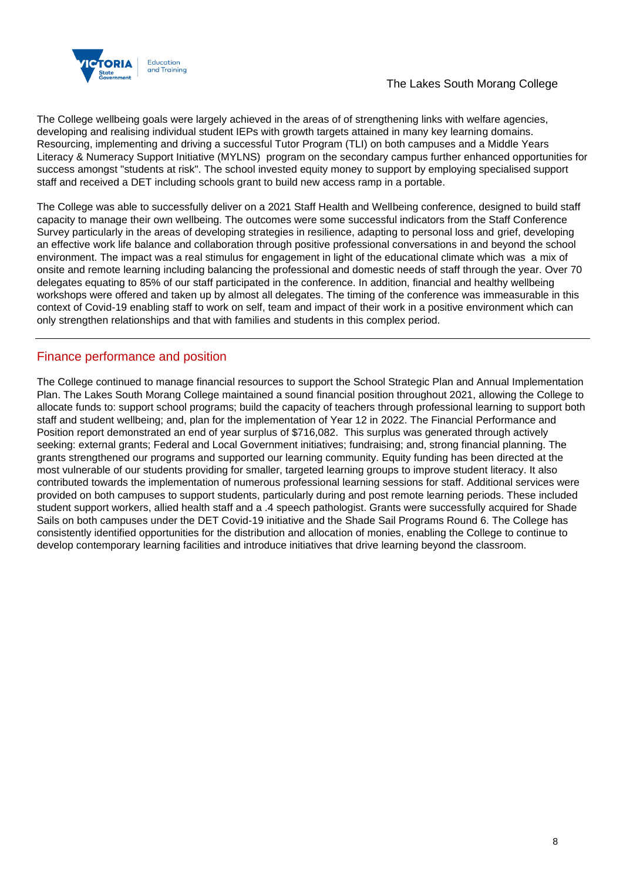

The College wellbeing goals were largely achieved in the areas of of strengthening links with welfare agencies, developing and realising individual student IEPs with growth targets attained in many key learning domains. Resourcing, implementing and driving a successful Tutor Program (TLI) on both campuses and a Middle Years Literacy & Numeracy Support Initiative (MYLNS) program on the secondary campus further enhanced opportunities for success amongst "students at risk". The school invested equity money to support by employing specialised support staff and received a DET including schools grant to build new access ramp in a portable.

The College was able to successfully deliver on a 2021 Staff Health and Wellbeing conference, designed to build staff capacity to manage their own wellbeing. The outcomes were some successful indicators from the Staff Conference Survey particularly in the areas of developing strategies in resilience, adapting to personal loss and grief, developing an effective work life balance and collaboration through positive professional conversations in and beyond the school environment. The impact was a real stimulus for engagement in light of the educational climate which was a mix of onsite and remote learning including balancing the professional and domestic needs of staff through the year. Over 70 delegates equating to 85% of our staff participated in the conference. In addition, financial and healthy wellbeing workshops were offered and taken up by almost all delegates. The timing of the conference was immeasurable in this context of Covid-19 enabling staff to work on self, team and impact of their work in a positive environment which can only strengthen relationships and that with families and students in this complex period.

## Finance performance and position

The College continued to manage financial resources to support the School Strategic Plan and Annual Implementation Plan. The Lakes South Morang College maintained a sound financial position throughout 2021, allowing the College to allocate funds to: support school programs; build the capacity of teachers through professional learning to support both staff and student wellbeing; and, plan for the implementation of Year 12 in 2022. The Financial Performance and Position report demonstrated an end of year surplus of \$716,082. This surplus was generated through actively seeking: external grants; Federal and Local Government initiatives; fundraising; and, strong financial planning. The grants strengthened our programs and supported our learning community. Equity funding has been directed at the most vulnerable of our students providing for smaller, targeted learning groups to improve student literacy. It also contributed towards the implementation of numerous professional learning sessions for staff. Additional services were provided on both campuses to support students, particularly during and post remote learning periods. These included student support workers, allied health staff and a .4 speech pathologist. Grants were successfully acquired for Shade Sails on both campuses under the DET Covid-19 initiative and the Shade Sail Programs Round 6. The College has consistently identified opportunities for the distribution and allocation of monies, enabling the College to continue to develop contemporary learning facilities and introduce initiatives that drive learning beyond the classroom.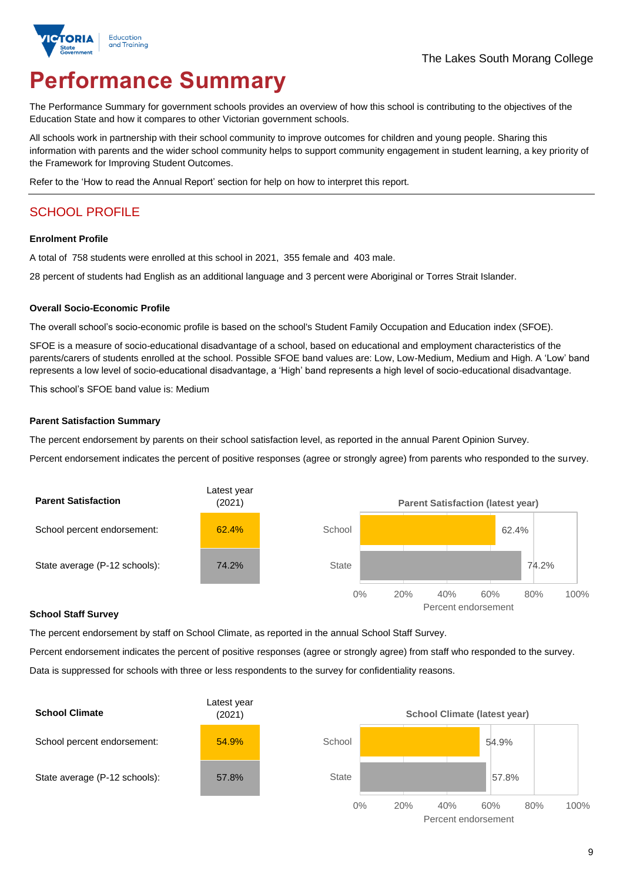

# **Performance Summary**

The Performance Summary for government schools provides an overview of how this school is contributing to the objectives of the Education State and how it compares to other Victorian government schools.

All schools work in partnership with their school community to improve outcomes for children and young people. Sharing this information with parents and the wider school community helps to support community engagement in student learning, a key priority of the Framework for Improving Student Outcomes.

Refer to the 'How to read the Annual Report' section for help on how to interpret this report.

## SCHOOL PROFILE

#### **Enrolment Profile**

A total of 758 students were enrolled at this school in 2021, 355 female and 403 male.

28 percent of students had English as an additional language and 3 percent were Aboriginal or Torres Strait Islander.

#### **Overall Socio-Economic Profile**

The overall school's socio-economic profile is based on the school's Student Family Occupation and Education index (SFOE).

SFOE is a measure of socio-educational disadvantage of a school, based on educational and employment characteristics of the parents/carers of students enrolled at the school. Possible SFOE band values are: Low, Low-Medium, Medium and High. A 'Low' band represents a low level of socio-educational disadvantage, a 'High' band represents a high level of socio-educational disadvantage.

This school's SFOE band value is: Medium

#### **Parent Satisfaction Summary**

The percent endorsement by parents on their school satisfaction level, as reported in the annual Parent Opinion Survey.

Percent endorsement indicates the percent of positive responses (agree or strongly agree) from parents who responded to the survey.



#### **School Staff Survey**

The percent endorsement by staff on School Climate, as reported in the annual School Staff Survey.

Percent endorsement indicates the percent of positive responses (agree or strongly agree) from staff who responded to the survey. Data is suppressed for schools with three or less respondents to the survey for confidentiality reasons.

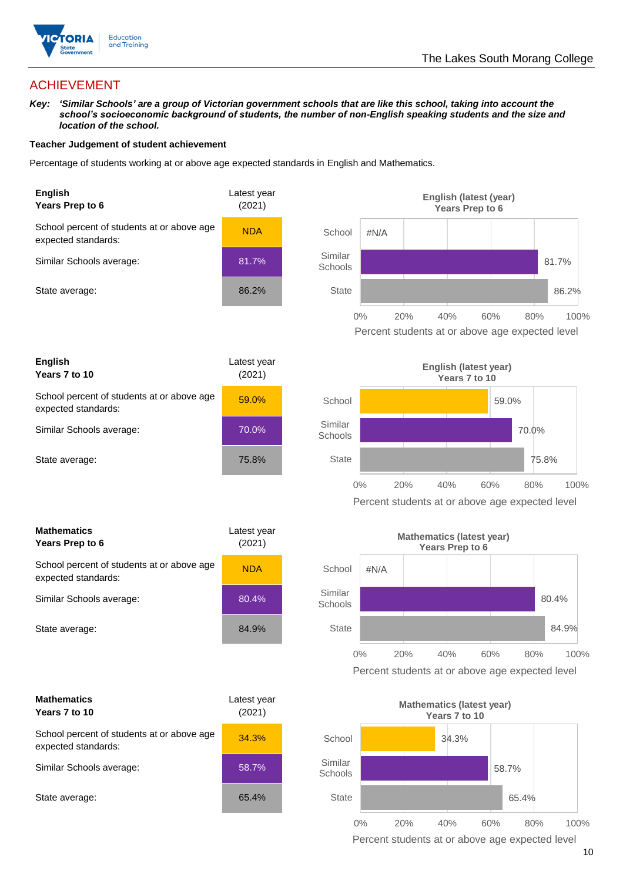

## ACHIEVEMENT

*Key: 'Similar Schools' are a group of Victorian government schools that are like this school, taking into account the school's socioeconomic background of students, the number of non-English speaking students and the size and location of the school.*

#### **Teacher Judgement of student achievement**

Percentage of students working at or above age expected standards in English and Mathematics.





| <b>Mathematics</b><br>Years Prep to 6                             | Latest year<br>(2021) |  |
|-------------------------------------------------------------------|-----------------------|--|
| School percent of students at or above age<br>expected standards: | <b>NDA</b>            |  |
| Similar Schools average:                                          | 80.4%                 |  |
| State average:                                                    | 84.9%                 |  |

| <b>Mathematics</b><br>Years 7 to 10                               | Latest year<br>(2021) |  |
|-------------------------------------------------------------------|-----------------------|--|
| School percent of students at or above age<br>expected standards: | 34.3%                 |  |
| Similar Schools average:                                          | 58.7%                 |  |
| State average:                                                    | 65.4%                 |  |





Percent students at or above age expected level



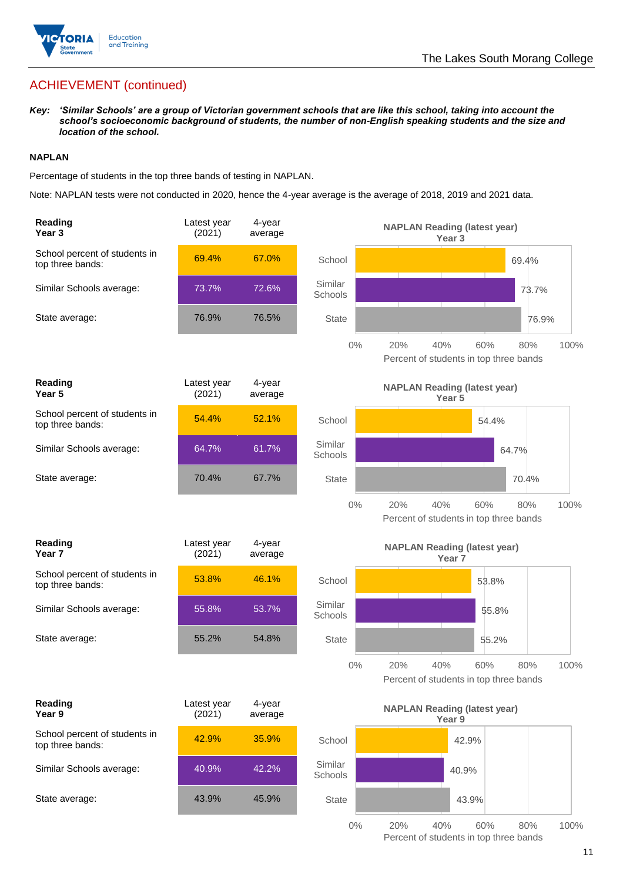

*Key: 'Similar Schools' are a group of Victorian government schools that are like this school, taking into account the school's socioeconomic background of students, the number of non-English speaking students and the size and location of the school.*

#### **NAPLAN**

Percentage of students in the top three bands of testing in NAPLAN.

Note: NAPLAN tests were not conducted in 2020, hence the 4-year average is the average of 2018, 2019 and 2021 data.

| Reading<br>Year <sub>3</sub>                      | Latest year<br>(2021) | 4-year<br>average |                    | <b>NAPLAN Reading (latest year)</b><br>Year <sub>3</sub>                   |
|---------------------------------------------------|-----------------------|-------------------|--------------------|----------------------------------------------------------------------------|
| School percent of students in<br>top three bands: | 69.4%                 | 67.0%             | School             | 69.4%                                                                      |
| Similar Schools average:                          | 73.7%                 | 72.6%             | Similar<br>Schools | 73.7%                                                                      |
| State average:                                    | 76.9%                 | 76.5%             | <b>State</b>       | 76.9%                                                                      |
|                                                   |                       |                   | $0\%$              | 20%<br>60%<br>100%<br>40%<br>80%<br>Percent of students in top three bands |
| Reading<br>Year <sub>5</sub>                      | Latest year<br>(2021) | 4-year<br>average |                    | <b>NAPLAN Reading (latest year)</b><br>Year 5                              |
| School percent of students in<br>top three bands: | 54.4%                 | 52.1%             | School             | 54.4%                                                                      |
| Similar Schools average:                          | 64.7%                 | 61.7%             | Similar<br>Schools | 64.7%                                                                      |
| State average:                                    | 70.4%                 | 67.7%             | <b>State</b>       | 70.4%                                                                      |
|                                                   |                       |                   | $0\%$              | 20%<br>40%<br>60%<br>100%<br>80%<br>Percent of students in top three bands |
| Reading<br>Year 7                                 | Latest year<br>(2021) | 4-year<br>average |                    | <b>NAPLAN Reading (latest year)</b><br>Year <sub>7</sub>                   |
| School percent of students in<br>top three bands: | 53.8%                 | 46.1%             | School             | 53.8%                                                                      |
| Similar Schools average:                          | 55.8%                 | 53.7%             | Similar<br>Schools | 55.8%                                                                      |
| State average:                                    | 55.2%                 | 54.8%             | <b>State</b>       | 55.2%                                                                      |
|                                                   |                       |                   | $0\%$              | 20%<br>40%<br>60%<br>80%<br>100%<br>Percent of students in top three bands |
| Reading<br>Year 9                                 | Latest year<br>(2021) | 4-year<br>average |                    | <b>NAPLAN Reading (latest year)</b><br>Year 9                              |
| School percent of students in<br>top three bands: | 42.9%                 | 35.9%             | School             | 42.9%                                                                      |
| Similar Schools average:                          | 40.9%                 | 42.2%             | Similar<br>Schools | 40.9%                                                                      |
| State average:                                    | 43.9%                 | 45.9%             | <b>State</b>       | 43.9%                                                                      |
|                                                   |                       |                   | $0\%$              | 20%<br>40%<br>60%<br>80%<br>100%                                           |

Percent of students in top three bands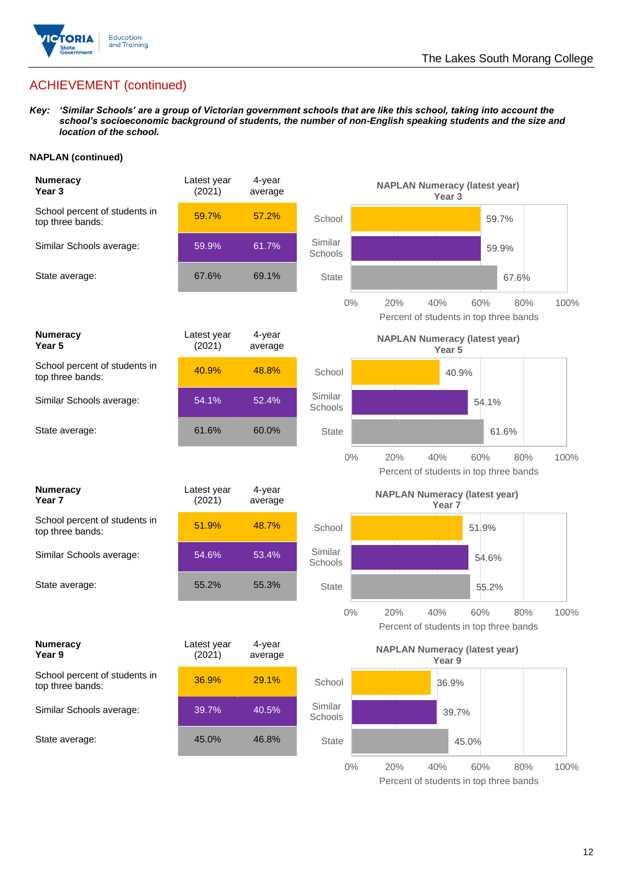

*Key: 'Similar Schools' are a group of Victorian government schools that are like this school, taking into account the school's socioeconomic background of students, the number of non-English speaking students and the size and location of the school.*

#### **NAPLAN (continued)**

| <b>Numeracy</b><br>Year <sub>3</sub>              | Latest year<br>(2021) | 4-year<br>average |                    | <b>NAPLAN Numeracy (latest year)</b><br>Year <sub>3</sub>                  |
|---------------------------------------------------|-----------------------|-------------------|--------------------|----------------------------------------------------------------------------|
| School percent of students in<br>top three bands: | 59.7%                 | 57.2%             | School             | 59.7%                                                                      |
| Similar Schools average:                          | 59.9%                 | 61.7%             | Similar<br>Schools | 59.9%                                                                      |
| State average:                                    | 67.6%                 | 69.1%             | <b>State</b>       | 67.6%                                                                      |
|                                                   |                       |                   | $0\%$              | 20%<br>40%<br>60%<br>80%<br>100%<br>Percent of students in top three bands |
| <b>Numeracy</b><br>Year 5                         | Latest year<br>(2021) | 4-year<br>average |                    | <b>NAPLAN Numeracy (latest year)</b><br>Year 5                             |
| School percent of students in<br>top three bands: | 40.9%                 | 48.8%             | School             | 40.9%                                                                      |
| Similar Schools average:                          | 54.1%                 | 52.4%             | Similar<br>Schools | 54.1%                                                                      |
| State average:                                    | 61.6%                 | 60.0%             | <b>State</b>       | 61.6%                                                                      |
|                                                   |                       |                   | $0\%$              | 40%<br>100%<br>20%<br>60%<br>80%<br>Percent of students in top three bands |
| <b>Numeracy</b><br>Year <sub>7</sub>              | Latest year<br>(2021) | 4-year<br>average |                    | <b>NAPLAN Numeracy (latest year)</b><br>Year <sub>7</sub>                  |
| School percent of students in<br>top three bands: | 51.9%                 | 48.7%             | School             | 51.9%                                                                      |
| Similar Schools average:                          | 54.6%                 | 53.4%             | Similar<br>Schools | 54.6%                                                                      |
| State average:                                    | 55.2%                 | 55.3%             | <b>State</b>       | 55.2%                                                                      |
|                                                   |                       |                   | $0\%$              | 20%<br>40%<br>80%<br>60%<br>100%<br>Percent of students in top three bands |
| <b>Numeracy</b><br>Year 9                         | Latest year<br>(2021) | 4-year<br>average |                    | <b>NAPLAN Numeracy (latest year)</b><br>Year 9                             |
| School percent of students in<br>top three bands: | 36.9%                 | 29.1%             | School             | 36.9%                                                                      |
| Similar Schools average:                          | 39.7%                 | 40.5%             | Similar<br>Schools | 39.7%                                                                      |
| State average:                                    | 45.0%                 | 46.8%             | <b>State</b>       | 45.0%                                                                      |
|                                                   |                       |                   |                    |                                                                            |

Percent of students in top three bands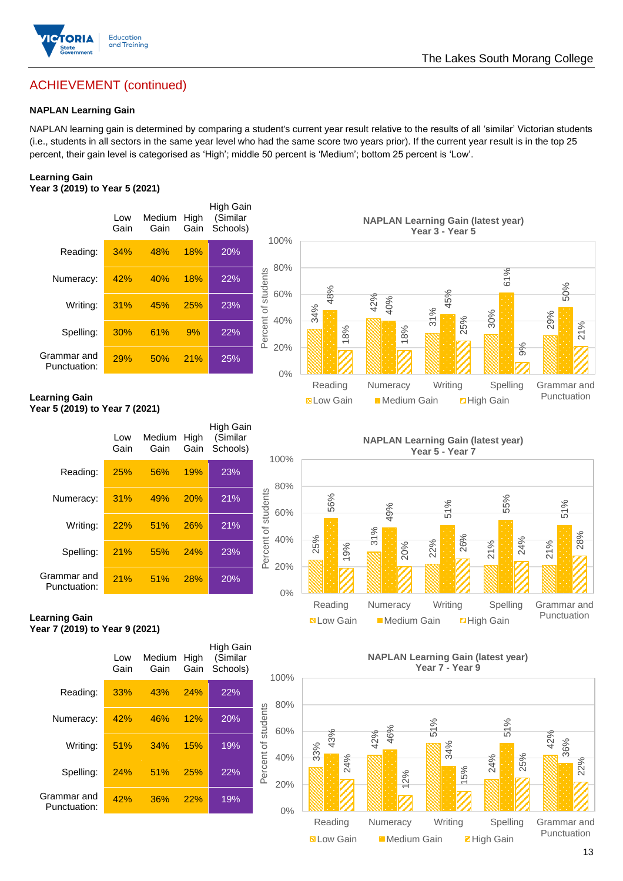

#### **NAPLAN Learning Gain**

NAPLAN learning gain is determined by comparing a student's current year result relative to the results of all 'similar' Victorian students (i.e., students in all sectors in the same year level who had the same score two years prior). If the current year result is in the top 25 percent, their gain level is categorised as 'High'; middle 50 percent is 'Medium'; bottom 25 percent is 'Low'.

#### **Learning Gain Year 3 (2019) to Year 5 (2021)**



**Year 5 (2019) to Year 7 (2021)**

|                             | Low<br>Gain | Medium<br>Gain | High<br>Gain | High Gain<br>(Similar<br>Schools) | 1                   |
|-----------------------------|-------------|----------------|--------------|-----------------------------------|---------------------|
| Reading:                    | 25%         | 56%            | 19%          | 23%                               |                     |
| Numeracy:                   | 31%         | 49%            | 20%          | 21%                               |                     |
| Writing:                    | 22%         | 51%            | 26%          | 21%                               | Percent of students |
| Spelling:                   | 21%         | 55%            | 24%          | 23%                               |                     |
| Grammar and<br>Punctuation: | 21%         | 51%            | 28%          | 20%                               |                     |



**Learning Gain Year 7 (2019) to Year 9 (2021)**



**NAPLAN Learning Gain (latest year) Year 7 - Year 9**



Punctuation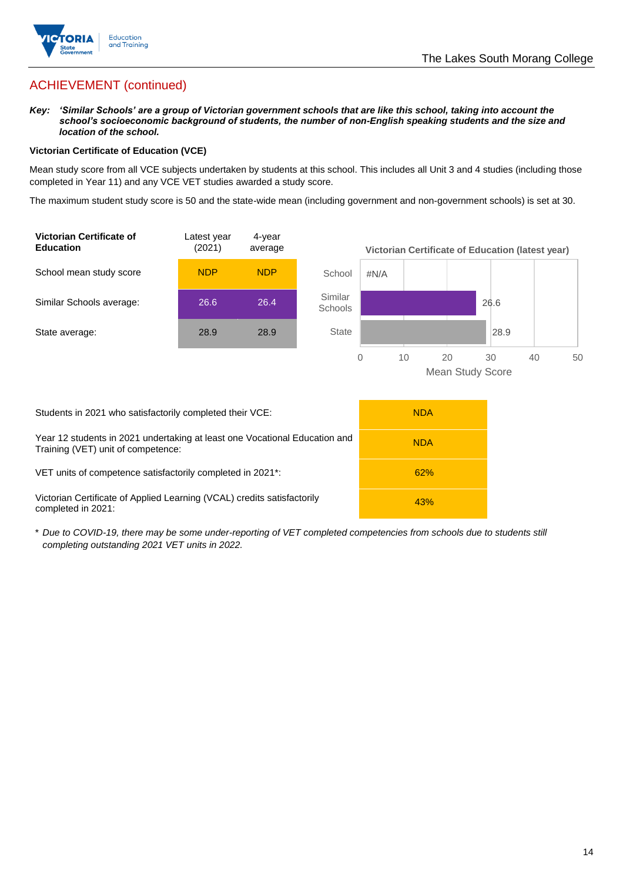

*Key: 'Similar Schools' are a group of Victorian government schools that are like this school, taking into account the school's socioeconomic background of students, the number of non-English speaking students and the size and location of the school.*

#### **Victorian Certificate of Education (VCE)**

Mean study score from all VCE subjects undertaken by students at this school. This includes all Unit 3 and 4 studies (including those completed in Year 11) and any VCE VET studies awarded a study score.

The maximum student study score is 50 and the state-wide mean (including government and non-government schools) is set at 30.



| Students in 2021 who satisfactorily completed their VCE:                                                         | <b>NDA</b> |
|------------------------------------------------------------------------------------------------------------------|------------|
| Year 12 students in 2021 undertaking at least one Vocational Education and<br>Training (VET) unit of competence: | <b>NDA</b> |
| VET units of competence satisfactorily completed in 2021 <sup>*</sup> :                                          | 62%        |
| Victorian Certificate of Applied Learning (VCAL) credits satisfactorily<br>completed in 2021:                    | 43%        |

\* *Due to COVID-19, there may be some under-reporting of VET completed competencies from schools due to students still completing outstanding 2021 VET units in 2022.*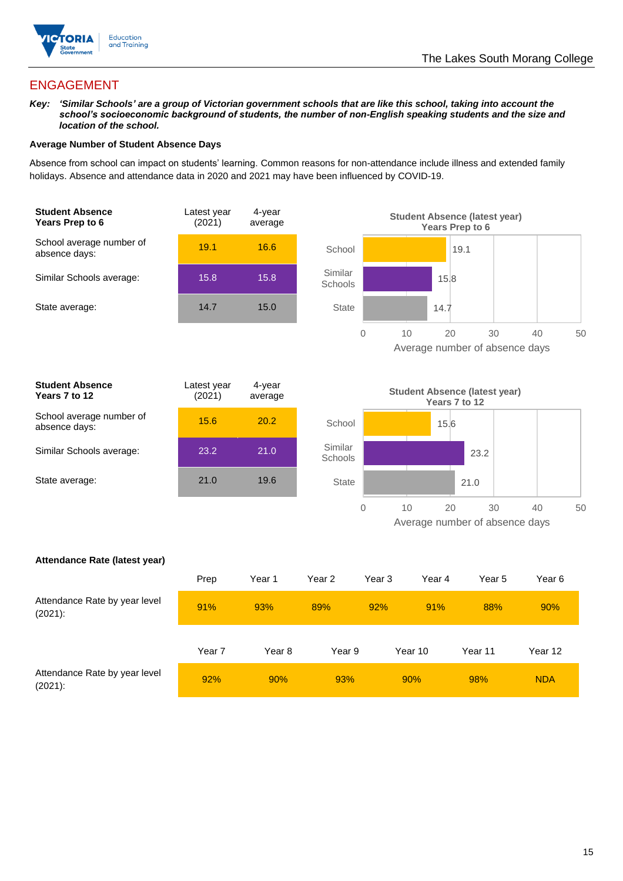

## ENGAGEMENT

*Key: 'Similar Schools' are a group of Victorian government schools that are like this school, taking into account the school's socioeconomic background of students, the number of non-English speaking students and the size and location of the school.*

#### **Average Number of Student Absence Days**

Absence from school can impact on students' learning. Common reasons for non-attendance include illness and extended family holidays. Absence and attendance data in 2020 and 2021 may have been influenced by COVID-19.





| <b>Student Absence</b><br>Years 7 to 12   | Latest year<br>(2021) | 4-year<br>average |
|-------------------------------------------|-----------------------|-------------------|
| School average number of<br>absence days: | 15.6                  | 20.2              |
| Similar Schools average:                  | 23.2                  | 21.0              |
| State average:                            | 21.0                  | 19.6              |
|                                           |                       |                   |



#### **Attendance Rate (latest year)**

|                                             | Prep   | Year 1 | Year 2 | Year 3 | Year 4  | Year 5  | Year 6     |
|---------------------------------------------|--------|--------|--------|--------|---------|---------|------------|
| Attendance Rate by year level<br>$(2021)$ : | 91%    | 93%    | 89%    | 92%    | 91%     | 88%     | 90%        |
|                                             | Year 7 | Year 8 | Year 9 |        | Year 10 | Year 11 | Year 12    |
| Attendance Rate by year level<br>$(2021)$ : | 92%    | 90%    | 93%    |        | 90%     | 98%     | <b>NDA</b> |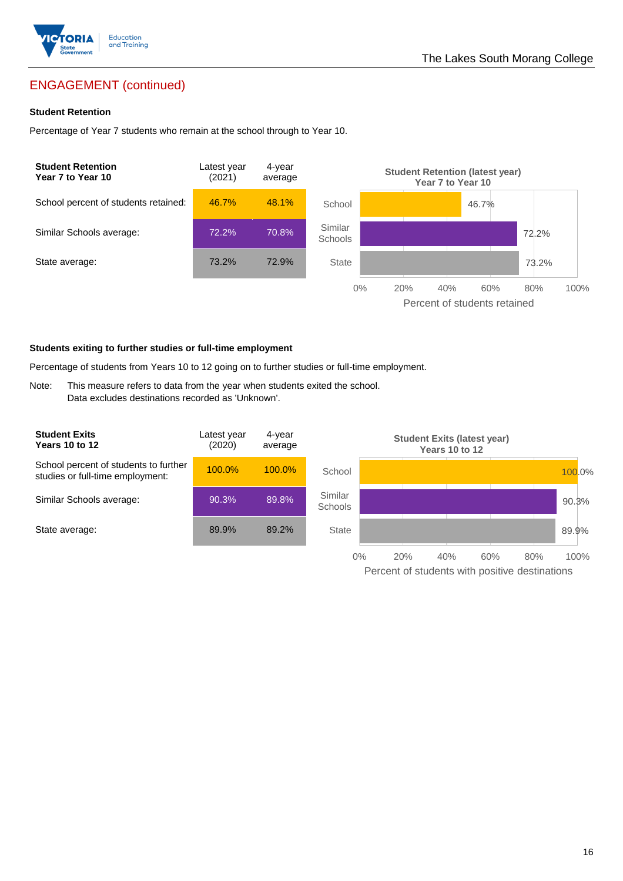

## ENGAGEMENT (continued)

#### **Student Retention**

Percentage of Year 7 students who remain at the school through to Year 10.



#### **Students exiting to further studies or full-time employment**

Percentage of students from Years 10 to 12 going on to further studies or full-time employment.

Note: This measure refers to data from the year when students exited the school. Data excludes destinations recorded as 'Unknown'.

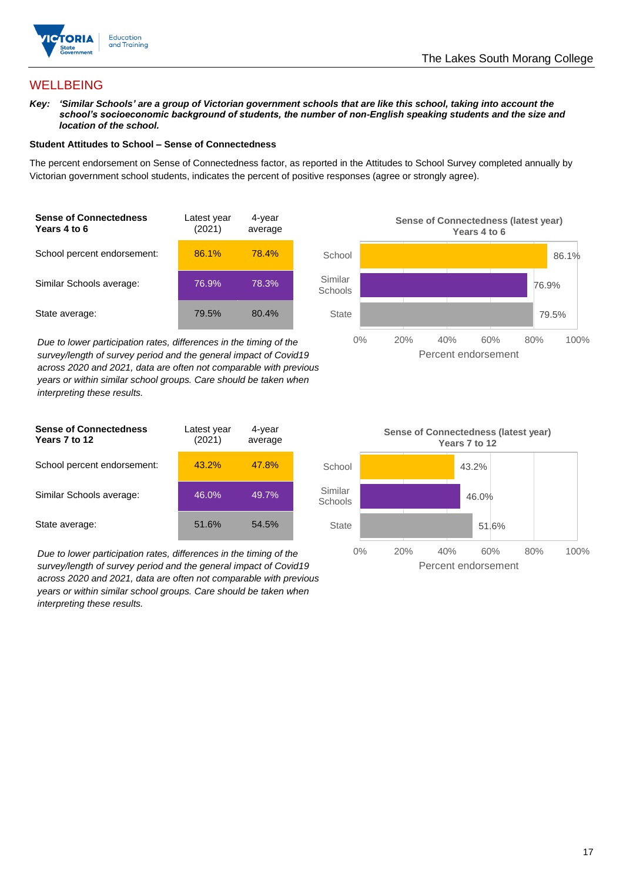

## **WELLBEING**

*Key: 'Similar Schools' are a group of Victorian government schools that are like this school, taking into account the school's socioeconomic background of students, the number of non-English speaking students and the size and location of the school.*

#### **Student Attitudes to School – Sense of Connectedness**

The percent endorsement on Sense of Connectedness factor, as reported in the Attitudes to School Survey completed annually by Victorian government school students, indicates the percent of positive responses (agree or strongly agree).

| <b>Sense of Connectedness</b><br>Years 4 to 6 | Latest year<br>(2021) | 4-year<br>average |  |
|-----------------------------------------------|-----------------------|-------------------|--|
| School percent endorsement:                   | 86.1%                 | 78.4%             |  |
| Similar Schools average:                      | 76.9%                 | 78.3%             |  |
| State average:                                | 79.5%                 | 80.4%             |  |

*Due to lower participation rates, differences in the timing of the survey/length of survey period and the general impact of Covid19 across 2020 and 2021, data are often not comparable with previous years or within similar school groups. Care should be taken when interpreting these results.*



| <b>Sense of Connectedness</b><br>Years 7 to 12 | Latest year<br>(2021) | 4-year<br>average |
|------------------------------------------------|-----------------------|-------------------|
| School percent endorsement:                    | 43.2%                 | 47.8%             |
| Similar Schools average:                       | 46.0%                 | 49.7%             |
| State average:                                 | 51.6%                 | 54.5%             |

*Due to lower participation rates, differences in the timing of the survey/length of survey period and the general impact of Covid19 across 2020 and 2021, data are often not comparable with previous years or within similar school groups. Care should be taken when interpreting these results.*

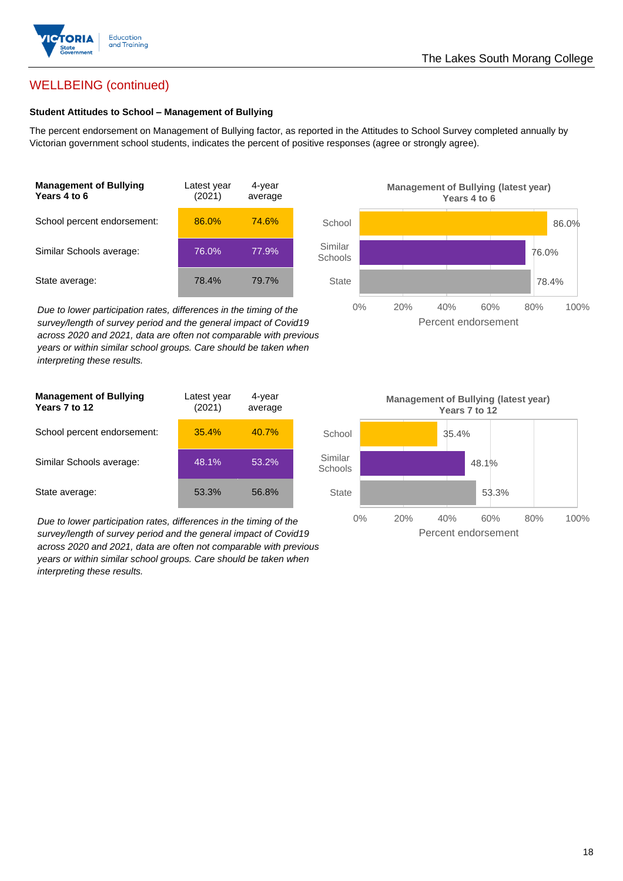

## WELLBEING (continued)

#### **Student Attitudes to School – Management of Bullying**

The percent endorsement on Management of Bullying factor, as reported in the Attitudes to School Survey completed annually by Victorian government school students, indicates the percent of positive responses (agree or strongly agree).

| <b>Management of Bullying</b><br>Years 4 to 6 | Latest year<br>(2021) | 4-year<br>average |
|-----------------------------------------------|-----------------------|-------------------|
| School percent endorsement:                   | 86.0%                 | 74.6%             |
| Similar Schools average:                      | 76.0%                 | 77.9%             |
| State average:                                | 78.4%                 | 79.7%             |

*Due to lower participation rates, differences in the timing of the survey/length of survey period and the general impact of Covid19 across 2020 and 2021, data are often not comparable with previous years or within similar school groups. Care should be taken when interpreting these results.*

| <b>Management of Bullying</b><br>Years 7 to 12 | Latest year<br>(2021) | 4-year<br>average |  |
|------------------------------------------------|-----------------------|-------------------|--|
| School percent endorsement:                    | 35.4%                 | 40.7%             |  |
| Similar Schools average:                       | 48.1%                 | $53.2\%$          |  |
| State average:                                 | 53.3%                 | 56.8%             |  |

*Due to lower participation rates, differences in the timing of the survey/length of survey period and the general impact of Covid19 across 2020 and 2021, data are often not comparable with previous years or within similar school groups. Care should be taken when interpreting these results.*



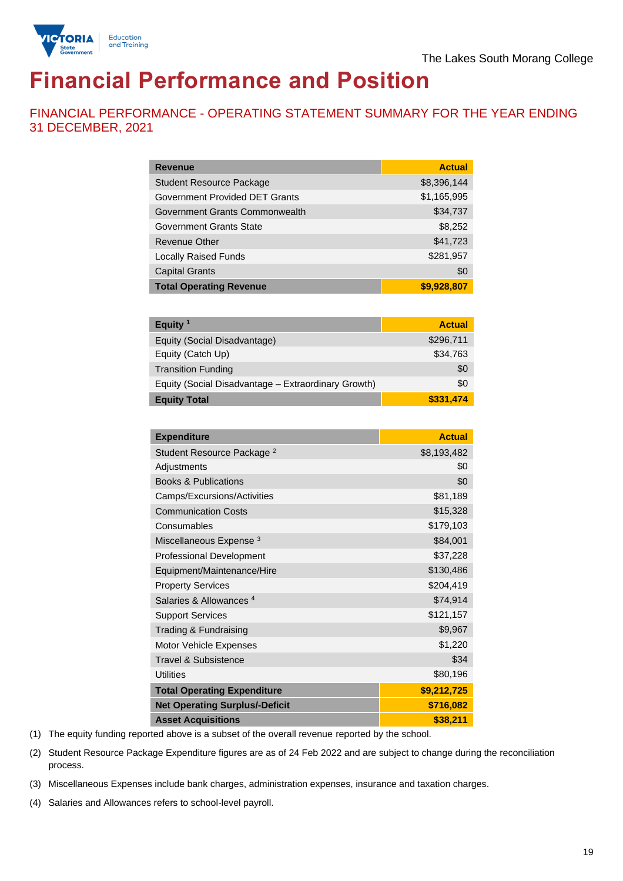

# **Financial Performance and Position**

FINANCIAL PERFORMANCE - OPERATING STATEMENT SUMMARY FOR THE YEAR ENDING 31 DECEMBER, 2021

| <b>Revenue</b>                  | <b>Actual</b> |
|---------------------------------|---------------|
| <b>Student Resource Package</b> | \$8,396,144   |
| Government Provided DET Grants  | \$1,165,995   |
| Government Grants Commonwealth  | \$34,737      |
| Government Grants State         | \$8,252       |
| Revenue Other                   | \$41,723      |
| <b>Locally Raised Funds</b>     | \$281,957     |
| <b>Capital Grants</b>           | \$0           |
| <b>Total Operating Revenue</b>  | \$9,928,807   |

| Equity $1$                                          | <b>Actual</b> |
|-----------------------------------------------------|---------------|
| Equity (Social Disadvantage)                        | \$296,711     |
| Equity (Catch Up)                                   | \$34,763      |
| <b>Transition Funding</b>                           | \$0           |
| Equity (Social Disadvantage - Extraordinary Growth) | \$0           |
| <b>Equity Total</b>                                 | \$331,474     |

| <b>Expenditure</b>                    | <b>Actual</b> |
|---------------------------------------|---------------|
| Student Resource Package <sup>2</sup> | \$8,193,482   |
| Adjustments                           | \$0           |
| <b>Books &amp; Publications</b>       | \$0           |
| Camps/Excursions/Activities           | \$81,189      |
| <b>Communication Costs</b>            | \$15,328      |
| Consumables                           | \$179,103     |
| Miscellaneous Expense <sup>3</sup>    | \$84,001      |
| <b>Professional Development</b>       | \$37,228      |
| Equipment/Maintenance/Hire            | \$130,486     |
| <b>Property Services</b>              | \$204,419     |
| Salaries & Allowances <sup>4</sup>    | \$74,914      |
| <b>Support Services</b>               | \$121,157     |
| Trading & Fundraising                 | \$9,967       |
| Motor Vehicle Expenses                | \$1,220       |
| Travel & Subsistence                  | \$34          |
| <b>Utilities</b>                      | \$80,196      |
| <b>Total Operating Expenditure</b>    | \$9,212,725   |
| <b>Net Operating Surplus/-Deficit</b> | \$716,082     |
| <b>Asset Acquisitions</b>             | \$38,211      |

(1) The equity funding reported above is a subset of the overall revenue reported by the school.

(2) Student Resource Package Expenditure figures are as of 24 Feb 2022 and are subject to change during the reconciliation process.

(3) Miscellaneous Expenses include bank charges, administration expenses, insurance and taxation charges.

(4) Salaries and Allowances refers to school-level payroll.